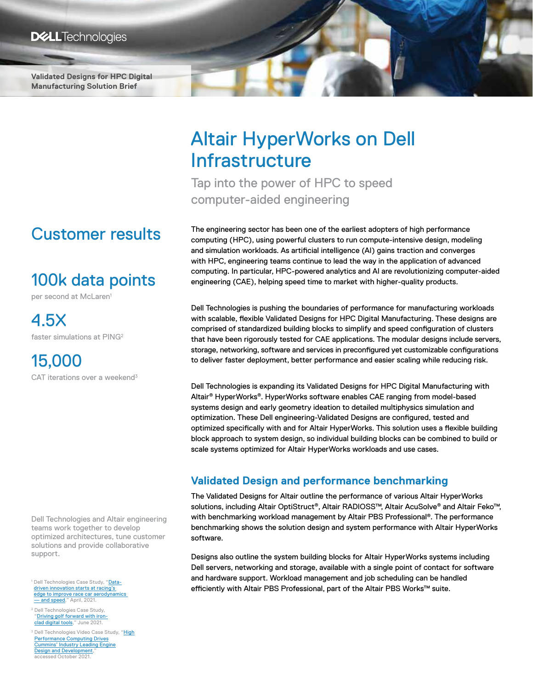**Validated Designs for HPC Digital Manufacturing Solution Brief**

# Customer results

## 100k data points

per second at McLaren<sup>1</sup>

4.5X faster simulations at PING<sup>2</sup>

15,000 CAT iterations over a weekend<sup>3</sup>

Dell Technologies and Altair engineering teams work together to develop optimized architectures, tune customer solutions and provide collaborative support.

<sup>1</sup> Dell Technologies Case Study, "[Data](https://www.delltechnologies.com/asset/en-us/solutions/business-solutions/customer-stories-case-studies/3-dell-technologies-gce-2-page-cxo-case-study-mclaren-customer-review-29032021-green-edward.pdf)[driven innovation starts at racing's](https://www.delltechnologies.com/asset/en-us/solutions/business-solutions/customer-stories-case-studies/3-dell-technologies-gce-2-page-cxo-case-study-mclaren-customer-review-29032021-green-edward.pdf)  edge to improve race car aerodynamics<br>[— and speed,](https://www.delltechnologies.com/asset/en-us/solutions/business-solutions/customer-stories-case-studies/3-dell-technologies-gce-2-page-cxo-case-study-mclaren-customer-review-29032021-green-edward.pdf)" April, 2021.

<sup>2</sup> Dell Technologies Case Study, Driving golf forward with iron[clad digital tools,](https://www.delltechnologies.com/asset/en-us/products/ready-solutions/customer-stories-case-studies/dell-ping-case-study.pdf)" June 2021

<sup>3</sup> Dell Technologies Video Case Study, "<mark>[High](https://www.dellemc.com/en-us/video-collateral/high-performance-computing-drives-industry-leading-engine-design-and-development.htm)</mark> [Performance Computing Drives](https://www.dellemc.com/en-us/video-collateral/high-performance-computing-drives-industry-leading-engine-design-and-development.htm) [Cummins' Industry Leading Engine](https://www.dellemc.com/en-us/video-collateral/high-performance-computing-drives-industry-leading-engine-design-and-development.htm) [Design and Development,](https://www.dellemc.com/en-us/video-collateral/high-performance-computing-drives-industry-leading-engine-design-and-development.htm) accessed October 2021.

# Altair HyperWorks on Dell Infrastructure

Tap into the power of HPC to speed computer-aided engineering

The engineering sector has been one of the earliest adopters of high performance computing (HPC), using powerful clusters to run compute-intensive design, modeling and simulation workloads. As artificial intelligence (AI) gains traction and converges with HPC, engineering teams continue to lead the way in the application of advanced computing. In particular, HPC-powered analytics and AI are revolutionizing computer-aided engineering (CAE), helping speed time to market with higher-quality products.

Dell Technologies is pushing the boundaries of performance for manufacturing workloads with scalable, flexible Validated Designs for HPC Digital Manufacturing. These designs are comprised of standardized building blocks to simplify and speed configuration of clusters that have been rigorously tested for CAE applications. The modular designs include servers, storage, networking, software and services in preconfigured yet customizable configurations to deliver faster deployment, better performance and easier scaling while reducing risk.

Dell Technologies is expanding its Validated Designs for HPC Digital Manufacturing with Altair® HyperWorks®. HyperWorks software enables CAE ranging from model-based systems design and early geometry ideation to detailed multiphysics simulation and optimization. These Dell engineering-Validated Designs are configured, tested and optimized specifically with and for Altair HyperWorks. This solution uses a flexible building block approach to system design, so individual building blocks can be combined to build or scale systems optimized for Altair HyperWorks workloads and use cases.

### **Validated Design and performance benchmarking**

The Validated Designs for Altair outline the performance of various Altair HyperWorks solutions, including Altair OptiStruct®, Altair RADIOSS™, Altair AcuSolve® and Altair Feko™, with benchmarking workload management by Altair PBS Professional®. The performance benchmarking shows the solution design and system performance with Altair HyperWorks software.

Designs also outline the system building blocks for Altair HyperWorks systems including Dell servers, networking and storage, available with a single point of contact for software and hardware support. Workload management and job scheduling can be handled efficiently with Altair PBS Professional, part of the Altair PBS Works™ suite.